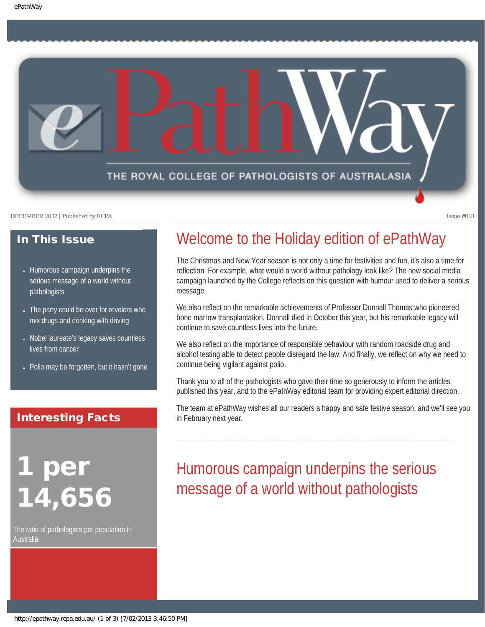

### In This Issue

- Humorous campaign underpins the [serious message of a world without](#page-0-0) [pathologists](#page-0-0)
- The party could be over for revelers who [mix drugs and drinking with driving](#page-1-0)
- Nobel laureate'[s legacy saves countless](#page-1-1) [lives from cancer](#page-1-1)
- [Polio may be forgotten, but it hasn](#page-2-0)'t gone

### Interesting Facts

<span id="page-0-0"></span>per 14,656

The ratio of pathologists per population in Australia

### Welcome to the Holiday edition of ePathWay

The Christmas and New Year season is not only a time for festivities and fun, it's also a time for reflection. For example, what would a world without pathology look like? The new social media campaign launched by the College reflects on this question with humour used to deliver a serious message.

We also reflect on the remarkable achievements of Professor Donnall Thomas who pioneered bone marrow transplantation. Donnall died in October this year, but his remarkable legacy will continue to save countless lives into the future.

We also reflect on the importance of responsible behaviour with random roadside drug and alcohol testing able to detect people disregard the law. And finally, we reflect on why we need to continue being vigilant against polio.

Thank you to all of the pathologists who gave their time so generously to inform the articles published this year, and to the ePathWay editorial team for providing expert editorial direction.

The team at ePathWay wishes all our readers a happy and safe festive season, and we'll see you in February next year.

# Humorous campaign underpins the serious message of a world without pathologists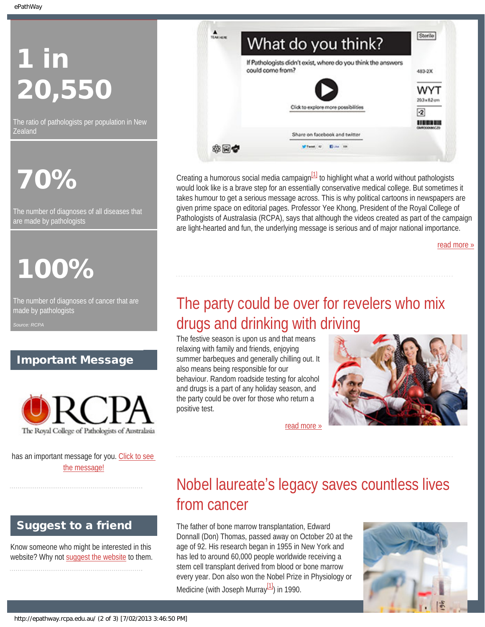# 1 in 20,550

The ratio of pathologists per population in New **Zealand** 

# 70%

The number of diagnoses of all diseases that are made by pathologists

# 100%

<span id="page-1-0"></span>The number of diagnoses of cancer that are made by pathologists

*Source: RCPA*

### Important Message



<span id="page-1-1"></span>has an important message for you. [Click to see](http://epathway.rcpa.edu.au/notice.html) [the message!](http://epathway.rcpa.edu.au/notice.html)

### Suggest to a friend

Know someone who might be interested in this website? Why not [suggest the website](mailto:?Subject=I%20think%20you%20should%20read%20this%20Newsletter=
http://epathway.rcpa.edu.au/index.html) to them.

| If Pathologists didn't exist, where do you think the answers<br>could come from? |                                                     |
|----------------------------------------------------------------------------------|-----------------------------------------------------|
|                                                                                  | 483-2X                                              |
| Click to explore more possibilities                                              | WYT<br>$20.3 \times 8.2$ cm<br>$\cdot$ <sub>2</sub> |
| Share on facebook and twitter                                                    |                                                     |

Creating a humorous social media campaign $\frac{11}{11}$  to highlight what a world without pathologists would look like is a brave step for an essentially conservative medical college. But sometimes it takes humour to get a serious message across. This is why political cartoons in newspapers are given prime space on editorial pages. Professor Yee Khong, President of the Royal College of Pathologists of Australasia (RCPA), says that although the videos created as part of the campaign are light-hearted and fun, the underlying message is serious and of major national importance.

[read more »](#page-3-0)

# The party could be over for revelers who mix drugs and drinking with driving

The festive season is upon us and that means relaxing with family and friends, enjoying summer barbeques and generally chilling out. It also means being responsible for our behaviour. Random roadside testing for alcohol and drugs is a part of any holiday season, and the party could be over for those who return a positive test.



[read more »](#page-5-0)

# Nobel laureate's legacy saves countless lives from cancer

The father of bone marrow transplantation, Edward Donnall (Don) Thomas, passed away on October 20 at the age of 92. His research began in 1955 in New York and has led to around 60,000 people worldwide receiving a stem cell transplant derived from blood or bone marrow every year. Don also won the Nobel Prize in Physiology or Medicine (with Joseph Murray $\frac{11}{10}$ ) in 1990.

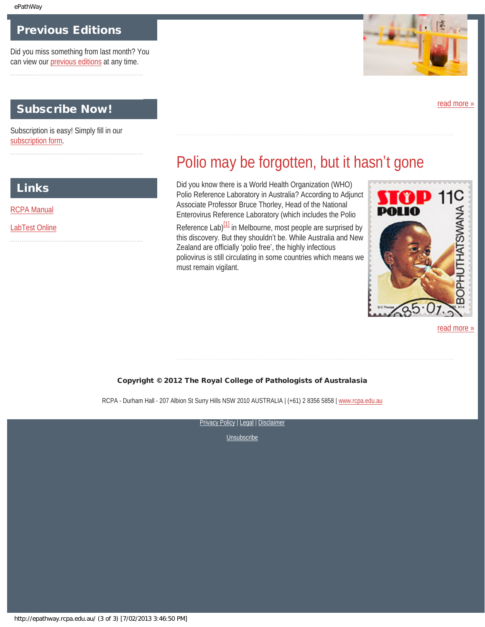**Links** 

[RCPA Manual](http://rcpamanual.edu.au/)

[LabTest Online](http://www.labtestsonline.org.au/)

### Previous Editions

Did you miss something from last month? You can view our [previous editions](#page-9-0) at any time. 

### Subscribe Now!

<span id="page-2-0"></span>Subscription is easy! Simply fill in our [subscription form.](http://epathway.rcpa.edu.au/subscription.html)



[read more »](#page-7-0)

## Polio may be forgotten, but it hasn't gone

Did you know there is a World Health Organization (WHO) Polio Reference Laboratory in Australia? According to Adjunct Associate Professor Bruce Thorley, Head of the National Enterovirus Reference Laboratory (which includes the Polio

Reference Lab)<sup>[1]</sup> in Melbourne, most people are surprised by this discovery. But they shouldn't be. While Australia and New Zealand are officially 'polio free', the highly infectious poliovirus is still circulating in some countries which means we must remain vigilant.



[read more »](#page-11-0)

#### Copyright © 2012 The Royal College of Pathologists of Australasia

RCPA - Durham Hall - 207 Albion St Surry Hills NSW 2010 AUSTRALIA | (+61) 2 8356 5858 | [www.rcpa.edu.au](http://www.rcpa.edu.au/)

[Privacy Policy](http://www.rcpa.edu.au/Privacy.htm) | [Legal](http://www.rcpa.edu.au/Legal.htm) | Disclaimer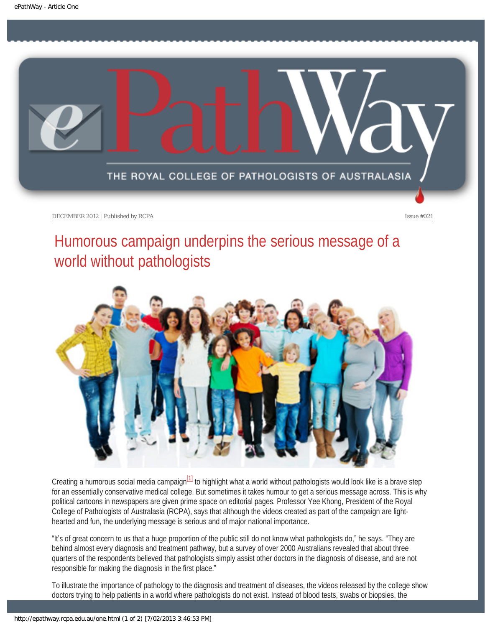<span id="page-3-0"></span>

# Humorous campaign underpins the serious message of a world without pathologists



Creating a humorous social media campaign $\frac{11}{10}$  to highlight what a world without pathologists would look like is a brave step for an essentially conservative medical college. But sometimes it takes humour to get a serious message across. This is why political cartoons in newspapers are given prime space on editorial pages. Professor Yee Khong, President of the Royal College of Pathologists of Australasia (RCPA), says that although the videos created as part of the campaign are lighthearted and fun, the underlying message is serious and of major national importance.

"It's of great concern to us that a huge proportion of the public still do not know what pathologists do," he says. "They are behind almost every diagnosis and treatment pathway, but a survey of over 2000 Australians revealed that about three quarters of the respondents believed that pathologists simply assist other doctors in the diagnosis of disease, and are not responsible for making the diagnosis in the first place."

To illustrate the importance of pathology to the diagnosis and treatment of diseases, the videos released by the college show doctors trying to help patients in a world where pathologists do not exist. Instead of blood tests, swabs or biopsies, the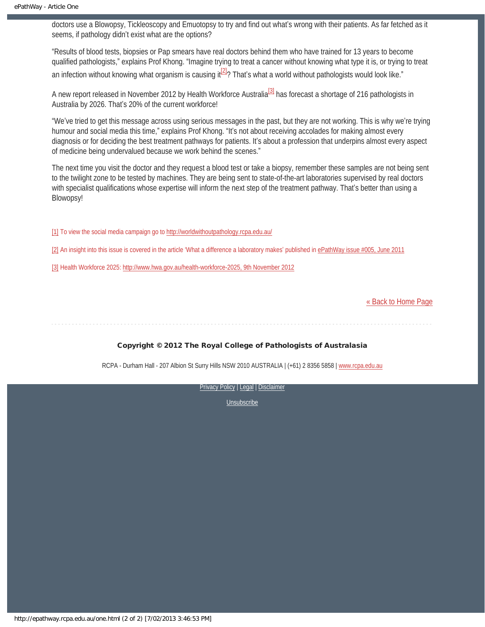doctors use a Blowopsy, Tickleoscopy and Emuotopsy to try and find out what's wrong with their patients. As far fetched as it seems, if pathology didn't exist what are the options?

"Results of blood tests, biopsies or Pap smears have real doctors behind them who have trained for 13 years to become qualified pathologists," explains Prof Khong. "Imagine trying to treat a cancer without knowing what type it is, or trying to treat an infection without knowing what organism is causing it $^{[2]}$ ? That's what a world without pathologists would look like."

<span id="page-4-4"></span><span id="page-4-3"></span>A new report released in November 2012 by Health Workforce Australia<sup>[\[3\]](#page-4-2)</sup> has forecast a shortage of 216 pathologists in Australia by 2026. That's 20% of the current workforce!

"We've tried to get this message across using serious messages in the past, but they are not working. This is why we're trying humour and social media this time," explains Prof Khong. "It's not about receiving accolades for making almost every diagnosis or for deciding the best treatment pathways for patients. It's about a profession that underpins almost every aspect of medicine being undervalued because we work behind the scenes."

The next time you visit the doctor and they request a blood test or take a biopsy, remember these samples are not being sent to the twilight zone to be tested by machines. They are being sent to state-of-the-art laboratories supervised by real doctors with specialist qualifications whose expertise will inform the next step of the treatment pathway. That's better than using a Blowopsy!

<span id="page-4-0"></span>[\[1\]](#page-4-3) To view the social media campaign go to<http://worldwithoutpathology.rcpa.edu.au/>

<span id="page-4-1"></span>[\[2\]](#page-4-4) An insight into this issue is covered in the article 'What a difference a laboratory makes' published in [ePathWay issue #005, June 2011](http://epathway.rcpa.edu.au/previous/005_0711.pdf)

<span id="page-4-2"></span>[\[3\]](#page-3-0) Health Workforce 2025: [http://www.hwa.gov.au/health-workforce-2025, 9th November 2012](http://www.hwa.gov.au/health-workforce-2025)

[« Back to Home Page](http://epathway.rcpa.edu.au/index.html)

#### Copyright © 2012 The Royal College of Pathologists of Australasia

RCPA - Durham Hall - 207 Albion St Surry Hills NSW 2010 AUSTRALIA | (+61) 2 8356 5858 | [www.rcpa.edu.au](http://www.rcpa.edu.au/)

[Privacy Policy](http://www.rcpa.edu.au/Privacy.htm) | [Legal](http://www.rcpa.edu.au/Legal.htm) | Disclaimer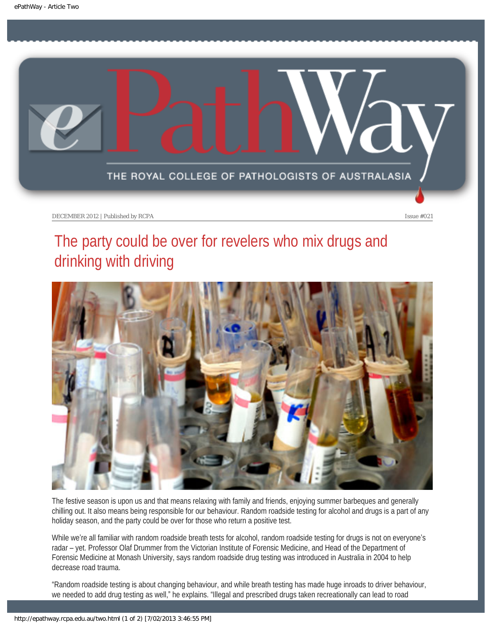<span id="page-5-0"></span>

# The party could be over for revelers who mix drugs and drinking with driving



The festive season is upon us and that means relaxing with family and friends, enjoying summer barbeques and generally chilling out. It also means being responsible for our behaviour. Random roadside testing for alcohol and drugs is a part of any holiday season, and the party could be over for those who return a positive test.

While we're all familiar with random roadside breath tests for alcohol, random roadside testing for drugs is not on everyone's radar – yet. Professor Olaf Drummer from the Victorian Institute of Forensic Medicine, and Head of the Department of Forensic Medicine at Monash University, says random roadside drug testing was introduced in Australia in 2004 to help decrease road trauma.

"Random roadside testing is about changing behaviour, and while breath testing has made huge inroads to driver behaviour, we needed to add drug testing as well," he explains. "Illegal and prescribed drugs taken recreationally can lead to road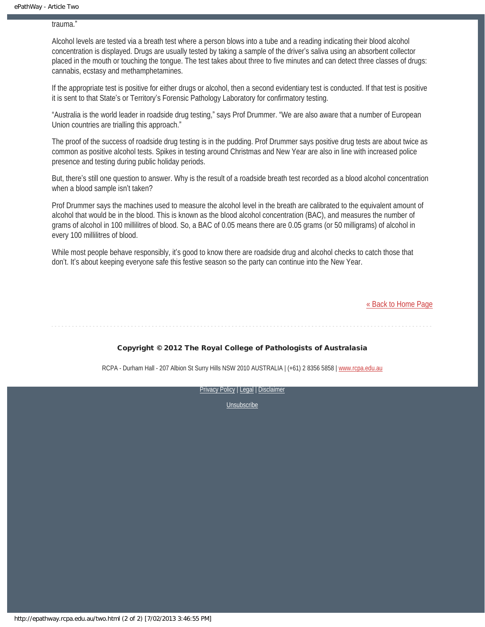trauma."

Alcohol levels are tested via a breath test where a person blows into a tube and a reading indicating their blood alcohol concentration is displayed. Drugs are usually tested by taking a sample of the driver's saliva using an absorbent collector placed in the mouth or touching the tongue. The test takes about three to five minutes and can detect three classes of drugs: cannabis, ecstasy and methamphetamines.

If the appropriate test is positive for either drugs or alcohol, then a second evidentiary test is conducted. If that test is positive it is sent to that State's or Territory's Forensic Pathology Laboratory for confirmatory testing.

"Australia is the world leader in roadside drug testing," says Prof Drummer. "We are also aware that a number of European Union countries are trialling this approach."

The proof of the success of roadside drug testing is in the pudding. Prof Drummer says positive drug tests are about twice as common as positive alcohol tests. Spikes in testing around Christmas and New Year are also in line with increased police presence and testing during public holiday periods.

But, there's still one question to answer. Why is the result of a roadside breath test recorded as a blood alcohol concentration when a blood sample isn't taken?

Prof Drummer says the machines used to measure the alcohol level in the breath are calibrated to the equivalent amount of alcohol that would be in the blood. This is known as the blood alcohol concentration (BAC), and measures the number of grams of alcohol in 100 millilitres of blood. So, a BAC of 0.05 means there are 0.05 grams (or 50 milligrams) of alcohol in every 100 millilitres of blood.

While most people behave responsibly, it's good to know there are roadside drug and alcohol checks to catch those that don't. It's about keeping everyone safe this festive season so the party can continue into the New Year.

[« Back to Home Page](http://epathway.rcpa.edu.au/index.html)

#### Copyright © 2012 The Royal College of Pathologists of Australasia

RCPA - Durham Hall - 207 Albion St Surry Hills NSW 2010 AUSTRALIA | (+61) 2 8356 5858 | [www.rcpa.edu.au](http://www.rcpa.edu.au/)

[Privacy Policy](http://www.rcpa.edu.au/Privacy.htm) | [Legal](http://www.rcpa.edu.au/Legal.htm) | Disclaimer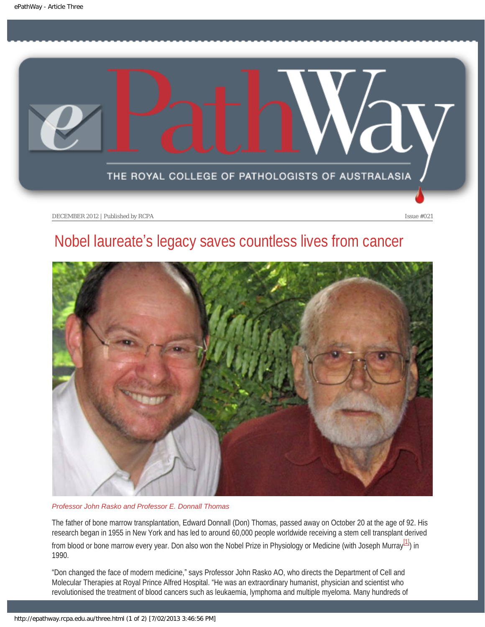<span id="page-7-0"></span>

## Nobel laureate's legacy saves countless lives from cancer



*Professor John Rasko and Professor E. Donnall Thomas*

The father of bone marrow transplantation, Edward Donnall (Don) Thomas, passed away on October 20 at the age of 92. His research began in 1955 in New York and has led to around 60,000 people worldwide receiving a stem cell transplant derived from blood or bone marrow every year. Don also won the Nobel Prize in Physiology or Medicine (with Joseph Murray<sup>[1]</sup>) in 1990.

<span id="page-7-1"></span>"Don changed the face of modern medicine," says Professor John Rasko AO, who directs the Department of Cell and Molecular Therapies at Royal Prince Alfred Hospital. "He was an extraordinary humanist, physician and scientist who revolutionised the treatment of blood cancers such as leukaemia, lymphoma and multiple myeloma. Many hundreds of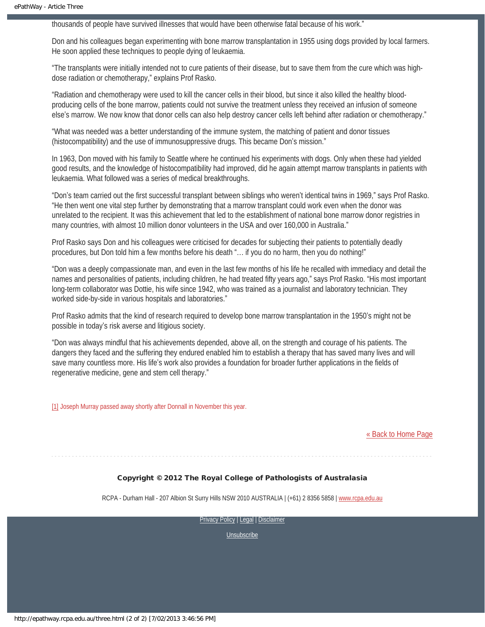thousands of people have survived illnesses that would have been otherwise fatal because of his work."

Don and his colleagues began experimenting with bone marrow transplantation in 1955 using dogs provided by local farmers. He soon applied these techniques to people dying of leukaemia.

"The transplants were initially intended not to cure patients of their disease, but to save them from the cure which was highdose radiation or chemotherapy," explains Prof Rasko.

"Radiation and chemotherapy were used to kill the cancer cells in their blood, but since it also killed the healthy bloodproducing cells of the bone marrow, patients could not survive the treatment unless they received an infusion of someone else's marrow. We now know that donor cells can also help destroy cancer cells left behind after radiation or chemotherapy."

"What was needed was a better understanding of the immune system, the matching of patient and donor tissues (histocompatibility) and the use of immunosuppressive drugs. This became Don's mission."

In 1963, Don moved with his family to Seattle where he continued his experiments with dogs. Only when these had yielded good results, and the knowledge of histocompatibility had improved, did he again attempt marrow transplants in patients with leukaemia. What followed was a series of medical breakthroughs.

"Don's team carried out the first successful transplant between siblings who weren't identical twins in 1969," says Prof Rasko. "He then went one vital step further by demonstrating that a marrow transplant could work even when the donor was unrelated to the recipient. It was this achievement that led to the establishment of national bone marrow donor registries in many countries, with almost 10 million donor volunteers in the USA and over 160,000 in Australia."

Prof Rasko says Don and his colleagues were criticised for decades for subjecting their patients to potentially deadly procedures, but Don told him a few months before his death "… if you do no harm, then you do nothing!"

"Don was a deeply compassionate man, and even in the last few months of his life he recalled with immediacy and detail the names and personalities of patients, including children, he had treated fifty years ago," says Prof Rasko. "His most important long-term collaborator was Dottie, his wife since 1942, who was trained as a journalist and laboratory technician. They worked side-by-side in various hospitals and laboratories."

Prof Rasko admits that the kind of research required to develop bone marrow transplantation in the 1950's might not be possible in today's risk averse and litigious society.

"Don was always mindful that his achievements depended, above all, on the strength and courage of his patients. The dangers they faced and the suffering they endured enabled him to establish a therapy that has saved many lives and will save many countless more. His life's work also provides a foundation for broader further applications in the fields of regenerative medicine, gene and stem cell therapy."

<span id="page-8-0"></span>[\[1\]](#page-7-1) Joseph Murray passed away shortly after Donnall in November this year.

[« Back to Home Page](http://epathway.rcpa.edu.au/index.html)

#### Copyright © 2012 The Royal College of Pathologists of Australasia

RCPA - Durham Hall - 207 Albion St Surry Hills NSW 2010 AUSTRALIA | (+61) 2 8356 5858 | [www.rcpa.edu.au](http://www.rcpa.edu.au/)

[Privacy Policy](http://www.rcpa.edu.au/Privacy.htm) | [Legal](http://www.rcpa.edu.au/Legal.htm) | Disclaimer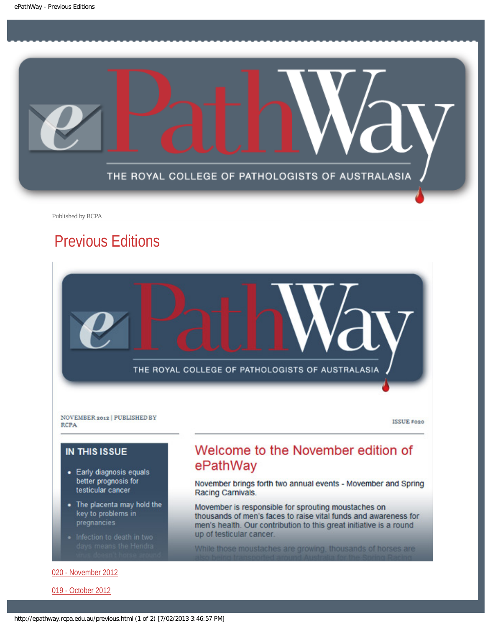<span id="page-9-0"></span>

Published by RCPA

### Previous Editions



ISSUE #020

### **IN THIS ISSUE**

**RCPA** 

- Early diagnosis equals better prognosis for testicular cancer
- The placenta may hold the key to problems in pregnancies
- 

#### [020 - November 2012](http://epathway.rcpa.edu.au/previous/020_1112.pdf)

[019 - October 2012](http://epathway.rcpa.edu.au/previous/019_1012.pdf)

### Welcome to the November edition of ePathWay

November brings forth two annual events - Movember and Spring Racing Carnivals.

Movember is responsible for sprouting moustaches on thousands of men's faces to raise vital funds and awareness for men's health. Our contribution to this great initiative is a round up of testicular cancer.

While those moustaches are growing, thousands of horses are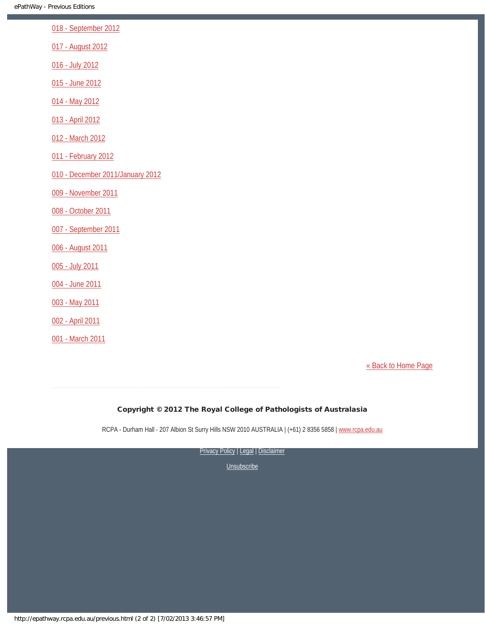[018 - September 2012](http://epathway.rcpa.edu.au/previous/018_0912.pdf)

[017 - August 2012](http://epathway.rcpa.edu.au/previous/017_0812.pdf)

[016 - July 2012](http://epathway.rcpa.edu.au/previous/016_0712.pdf)

[015 - June 2012](http://epathway.rcpa.edu.au/previous/015_0612.pdf)

[014 - May 2012](http://epathway.rcpa.edu.au/previous/014_0512.pdf)

[013 - April 2012](http://epathway.rcpa.edu.au/previous/013_0412.pdf)

[012 - March 2012](http://epathway.rcpa.edu.au/previous/012_0312.pdf)

[011 - February 2012](http://epathway.rcpa.edu.au/previous/011_0212.pdf)

[010 - December 2011/January 2012](http://epathway.rcpa.edu.au/previous/010_0112.pdf)

[009 - November 2011](http://epathway.rcpa.edu.au/previous/009_1111.pdf)

[008 - October 2011](http://epathway.rcpa.edu.au/previous/008_1011.pdf)

[007 - September 2011](http://epathway.rcpa.edu.au/previous/007_0911.pdf)

[006 - August 2011](http://epathway.rcpa.edu.au/previous/006_0811.pdf)

[005 - July 2011](http://epathway.rcpa.edu.au/previous/005_0711.pdf)

[004 - June 2011](http://epathway.rcpa.edu.au/previous/004_0611.pdf)

[003 - May 2011](http://epathway.rcpa.edu.au/previous/003_0511.pdf)

[002 - April 2011](http://epathway.rcpa.edu.au/previous/002_0411.pdf)

[001 - March 2011](http://epathway.rcpa.edu.au/previous/001_0311.pdf)

[« Back to Home Page](http://epathway.rcpa.edu.au/index.html)

#### Copyright © 2012 The Royal College of Pathologists of Australasia

RCPA - Durham Hall - 207 Albion St Surry Hills NSW 2010 AUSTRALIA | (+61) 2 8356 5858 | [www.rcpa.edu.au](http://www.rcpa.edu.au/)

[Privacy Policy](http://www.rcpa.edu.au/Privacy.htm) | [Legal](http://www.rcpa.edu.au/Legal.htm) | Disclaimer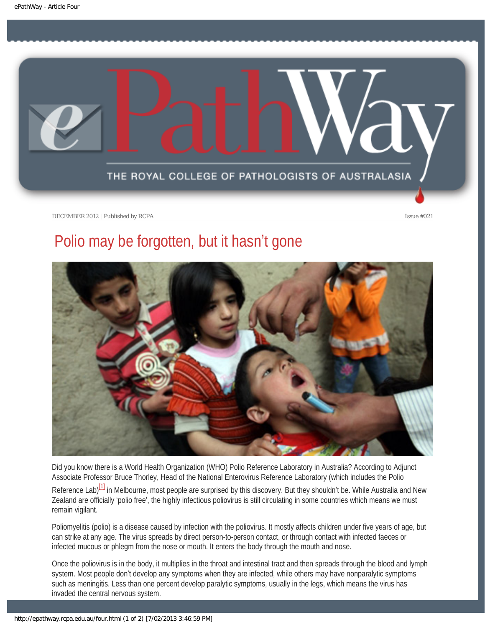<span id="page-11-0"></span>

## Polio may be forgotten, but it hasn't gone



Did you know there is a World Health Organization (WHO) Polio Reference Laboratory in Australia? According to Adjunct Associate Professor Bruce Thorley, Head of the National Enterovirus Reference Laboratory (which includes the Polio

<span id="page-11-1"></span>Reference Lab)<sup>[1]</sup> in Melbourne, most people are surprised by this discovery. But they shouldn't be. While Australia and New Zealand are officially 'polio free', the highly infectious poliovirus is still circulating in some countries which means we must remain vigilant.

Poliomyelitis (polio) is a disease caused by infection with the poliovirus. It mostly affects children under five years of age, but can strike at any age. The virus spreads by direct person-to-person contact, or through contact with infected faeces or infected mucous or phlegm from the nose or mouth. It enters the body through the mouth and nose.

Once the poliovirus is in the body, it multiplies in the throat and intestinal tract and then spreads through the blood and lymph system. Most people don't develop any symptoms when they are infected, while others may have nonparalytic symptoms such as meningitis. Less than one percent develop paralytic symptoms, usually in the legs, which means the virus has invaded the central nervous system.